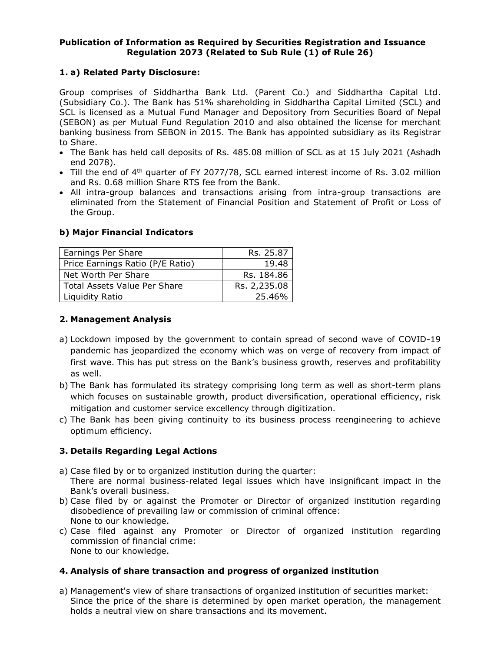### **Publication of Information as Required by Securities Registration and Issuance Regulation 2073 (Related to Sub Rule (1) of Rule 26)**

# **1. a) Related Party Disclosure:**

Group comprises of Siddhartha Bank Ltd. (Parent Co.) and Siddhartha Capital Ltd. (Subsidiary Co.). The Bank has 51% shareholding in Siddhartha Capital Limited (SCL) and SCL is licensed as a Mutual Fund Manager and Depository from Securities Board of Nepal (SEBON) as per Mutual Fund Regulation 2010 and also obtained the license for merchant banking business from SEBON in 2015. The Bank has appointed subsidiary as its Registrar to Share.

- The Bank has held call deposits of Rs. 485.08 million of SCL as at 15 July 2021 (Ashadh end 2078).
- Till the end of 4<sup>th</sup> quarter of FY 2077/78, SCL earned interest income of Rs. 3.02 million and Rs. 0.68 million Share RTS fee from the Bank.
- All intra-group balances and transactions arising from intra-group transactions are eliminated from the Statement of Financial Position and Statement of Profit or Loss of the Group.

### **b) Major Financial Indicators**

| Earnings Per Share               | Rs. 25.87    |
|----------------------------------|--------------|
| Price Earnings Ratio (P/E Ratio) | 19.48        |
| Net Worth Per Share              | Rs. 184.86   |
| Total Assets Value Per Share     | Rs. 2,235.08 |
| Liquidity Ratio                  | 25.46%       |

## **2. Management Analysis**

- a) Lockdown imposed by the government to contain spread of second wave of COVID-19 pandemic has jeopardized the economy which was on verge of recovery from impact of first wave. This has put stress on the Bank's business growth, reserves and profitability as well.
- b) The Bank has formulated its strategy comprising long term as well as short-term plans which focuses on sustainable growth, product diversification, operational efficiency, risk mitigation and customer service excellency through digitization.
- c) The Bank has been giving continuity to its business process reengineering to achieve optimum efficiency.

## **3. Details Regarding Legal Actions**

- a) Case filed by or to organized institution during the quarter: There are normal business-related legal issues which have insignificant impact in the Bank's overall business.
- b) Case filed by or against the Promoter or Director of organized institution regarding disobedience of prevailing law or commission of criminal offence: None to our knowledge.
- c) Case filed against any Promoter or Director of organized institution regarding commission of financial crime: None to our knowledge.

## **4. Analysis of share transaction and progress of organized institution**

a) Management's view of share transactions of organized institution of securities market: Since the price of the share is determined by open market operation, the management holds a neutral view on share transactions and its movement.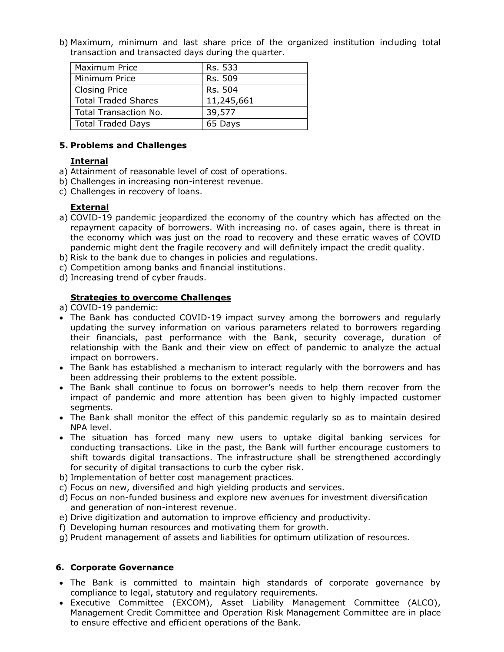b) Maximum, minimum and last share price of the organized institution including total transaction and transacted days during the quarter.

| Maximum Price              | Rs. 533    |
|----------------------------|------------|
| Minimum Price              | Rs. 509    |
| <b>Closing Price</b>       | Rs. 504    |
| <b>Total Traded Shares</b> | 11,245,661 |
| Total Transaction No.      | 39,577     |
| <b>Total Traded Days</b>   | 65 Days    |

#### **5. Problems and Challenges**

## **Internal**

- a) Attainment of reasonable level of cost of operations.
- b) Challenges in increasing non-interest revenue.
- c) Challenges in recovery of loans.

### **External**

- a) COVID-19 pandemic jeopardized the economy of the country which has affected on the repayment capacity of borrowers. With increasing no. of cases again, there is threat in the economy which was just on the road to recovery and these erratic waves of COVID pandemic might dent the fragile recovery and will definitely impact the credit quality.
- b) Risk to the bank due to changes in policies and regulations.
- c) Competition among banks and financial institutions.
- d) Increasing trend of cyber frauds.

### **Strategies to overcome Challenges**

- a) COVID-19 pandemic:
- The Bank has conducted COVID-19 impact survey among the borrowers and regularly updating the survey information on various parameters related to borrowers regarding their financials, past performance with the Bank, security coverage, duration of relationship with the Bank and their view on effect of pandemic to analyze the actual impact on borrowers.
- The Bank has established a mechanism to interact regularly with the borrowers and has been addressing their problems to the extent possible.
- The Bank shall continue to focus on borrower's needs to help them recover from the impact of pandemic and more attention has been given to highly impacted customer segments.
- The Bank shall monitor the effect of this pandemic regularly so as to maintain desired NPA level.
- The situation has forced many new users to uptake digital banking services for conducting transactions. Like in the past, the Bank will further encourage customers to shift towards digital transactions. The infrastructure shall be strengthened accordingly for security of digital transactions to curb the cyber risk.
- b) Implementation of better cost management practices.
- c) Focus on new, diversified and high yielding products and services.
- d) Focus on non-funded business and explore new avenues for investment diversification and generation of non-interest revenue.
- e) Drive digitization and automation to improve efficiency and productivity.
- f) Developing human resources and motivating them for growth.
- g) Prudent management of assets and liabilities for optimum utilization of resources.

#### **6. Corporate Governance**

- The Bank is committed to maintain high standards of corporate governance by compliance to legal, statutory and regulatory requirements.
- Executive Committee (EXCOM), Asset Liability Management Committee (ALCO), Management Credit Committee and Operation Risk Management Committee are in place to ensure effective and efficient operations of the Bank.